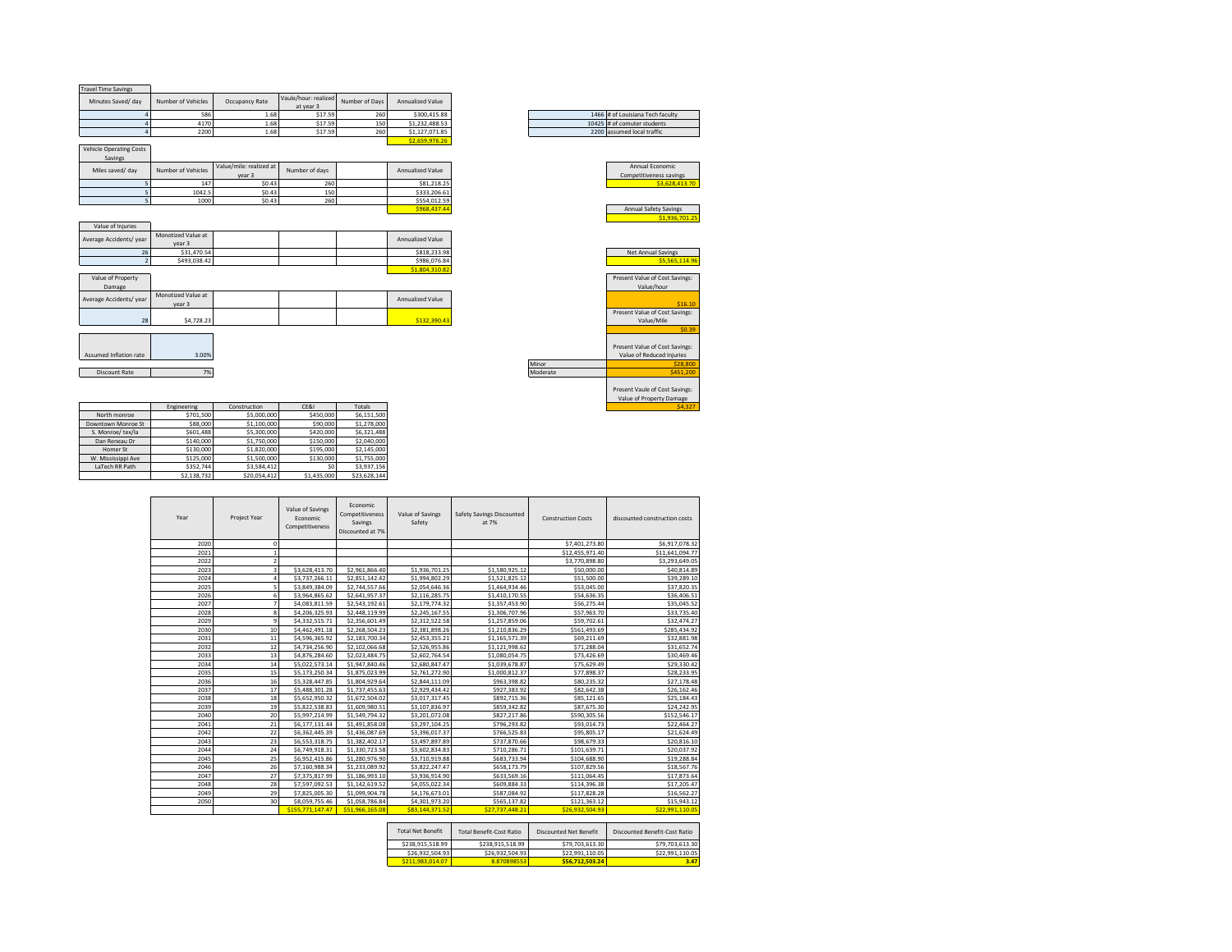| <b>Travel Time Savings</b>                |                              |                                   |                                   |                |                  |
|-------------------------------------------|------------------------------|-----------------------------------|-----------------------------------|----------------|------------------|
| Minutes Saved/ day                        | Number of Vehicles           | Occupancy Rate                    | Vaule/hour: realized<br>at year 3 | Number of Days | Annualized Value |
| 4                                         | 586                          | 1.68                              | \$17.59                           | 260            | \$300.415.88     |
| $\overline{a}$                            | 4170                         | 1.68                              | \$17.59                           | 150            | \$1,232,488.53   |
| $\overline{a}$                            | 2200                         | 1.68                              | \$17.59                           | 260            | \$1,127,071.85   |
|                                           |                              |                                   |                                   |                | \$2,659,976.26   |
| <b>Vehicle Operating Costs</b><br>Savings |                              |                                   |                                   |                |                  |
| Miles saved/ day                          | Number of Vehicles           | Value/mile: realized at<br>year 3 | Number of days                    |                | Annualized Value |
| 5                                         | 147                          | \$0.43                            | 260                               |                | \$81,218.25      |
| 5                                         | 1042.5                       | \$0.43                            | 150                               |                | \$333,206.61     |
| 5                                         | 1000                         | \$0.43                            | 260                               |                | \$554,012.59     |
|                                           |                              |                                   |                                   |                | \$968,437.44     |
|                                           |                              |                                   |                                   |                |                  |
| Value of Injuries                         |                              |                                   |                                   |                |                  |
| Average Accidents/ year                   | Monotized Value at<br>year 3 |                                   |                                   |                | Annualized Value |
| 26                                        | \$31,470.54                  |                                   |                                   |                | \$818,233.98     |
| $\overline{z}$                            | \$493,038.42                 |                                   |                                   |                | \$986,076.84     |
|                                           |                              |                                   |                                   |                | \$1,804,310.82   |
| Value of Property                         |                              |                                   |                                   |                |                  |
| Damage                                    |                              |                                   |                                   |                |                  |
| Average Accidents/ year                   | Monotized Value at<br>year 3 |                                   |                                   |                | Annualized Value |
|                                           |                              |                                   |                                   |                |                  |
| 28                                        | \$4,728.23                   |                                   |                                   |                | \$132,390.43     |
|                                           |                              |                                   |                                   |                |                  |
|                                           |                              |                                   |                                   |                |                  |
|                                           |                              |                                   |                                   |                |                  |
| Assumed Inflation rate                    | 3.00%                        |                                   |                                   |                |                  |
|                                           |                              |                                   |                                   |                |                  |
| Discount Rate                             | 7%                           |                                   |                                   |                |                  |
|                                           |                              |                                   |                                   |                |                  |

|                    | Engineering | Construction | CE&I        | Totals       |
|--------------------|-------------|--------------|-------------|--------------|
| North monroe       | \$701.500   | \$5,000,000  | \$450,000   | \$6,151,500  |
| Downtown Monroe St | \$88,000    | \$1,100,000  | \$90,000    | \$1,278,000  |
| S. Monroe/ tex/la  | \$601.488   | \$5,300,000  | \$420,000   | \$6,321,488  |
| Dan Reneau Dr      | \$140,000   | \$1,750,000  | \$150,000   | \$2,040,000  |
| Homer St           | \$130,000   | \$1,820,000  | \$195,000   | \$2,145,000  |
| W. Mississippi Ave | \$125,000   | \$1,500,000  | \$130,000   | \$1,755,000  |
| LaTech RR Path     | \$352.744   | \$3,584,412  |             | \$3,937,156  |
|                    | \$2.138.732 | \$20,054.412 | \$1,435,000 | \$23,628.144 |

| Year | Project Year            | Value of Savings<br>Economic<br>Competitiveness | Economic<br>Competitiveness<br>Savings<br>Discounted at 7% | Value of Savings<br>Safety | Safety Savings Discounted<br>at 7% | <b>Construction Costs</b> | discounted construction costs |
|------|-------------------------|-------------------------------------------------|------------------------------------------------------------|----------------------------|------------------------------------|---------------------------|-------------------------------|
| 2020 | n                       |                                                 |                                                            |                            |                                    | \$7,401,273.80            | \$6,917,078.32                |
| 2021 | $\mathbf{1}$            |                                                 |                                                            |                            |                                    | \$12,455,971.40           | \$11,641,094.77               |
| 2022 | $\overline{2}$          |                                                 |                                                            |                            |                                    | \$3,770,898.80            | \$3,293,649.05                |
| 2023 | $\overline{\mathbf{3}}$ | \$3,628,413.70                                  | \$2,961,866.40                                             | \$1,936,701.25             | \$1.580.925.12                     | \$50,000.00               | \$40,814.89                   |
| 2024 | 4                       | \$3,737,266.11                                  | \$2,851,142.42                                             | \$1,994,802.29             | \$1,521,825.12                     | \$51,500.00               | \$39,289.10                   |
| 2025 | 5                       | \$3,849,384.09                                  | \$2,744,557.66                                             | \$2,054,646.36             | \$1,464,934.46                     | \$53,045.00               | \$37,820.35                   |
| 2026 | 6                       | \$3,964,865.62                                  | \$2,641,957.37                                             | \$2,116,285.75             | \$1,410,170.55                     | \$54,636.35               | \$36,406.51                   |
| 2027 | $\overline{7}$          | \$4,083,811.59                                  | \$2,543,192.61                                             | \$2,179,774.32             | \$1,357,453.90                     | \$56,275.44               | \$35,045.52                   |
| 2028 | 8                       | \$4,206,325.93                                  | \$2,448,119.99                                             | \$2,245,167.55             | \$1,306,707.96                     | \$57,963.70               | \$33,735.40                   |
| 2029 | $\overline{9}$          | \$4,332,515.71                                  | \$2,356,601.49                                             | \$2,312,522.58             | \$1,257,859.06                     | \$59,702.61               | \$32,474.27                   |
| 2030 | 10                      | \$4,462,491.18                                  | \$2,268,504.23                                             | \$2,381,898.26             | \$1,210,836.29                     | \$561,493.69              | \$285,434.92                  |
| 2031 | 11                      | \$4,596,365.92                                  | \$2,183,700.34                                             | \$2,453,355.21             | \$1,165,571.39                     | \$69,211.69               | \$32,881.98                   |
| 2032 | 12                      | \$4,734,256.90                                  | \$2,102,066.68                                             | \$2,526,955.86             | \$1,121,998.62                     | \$71,288.04               | \$31,652.74                   |
| 2033 | 13                      | \$4,876,284.60                                  | \$2.023.484.75                                             | \$2,602,764.54             | \$1,080,054.75                     | \$73.426.69               | \$30,469.46                   |
| 2034 | 14                      | \$5,022,573.14                                  | \$1,947,840.46                                             | \$2,680,847.47             | \$1,039,678.87                     | \$75,629.49               | \$29,330.42                   |
| 2035 | 15                      | \$5,173,250.34                                  | \$1,875,023.99                                             | \$2,761,272.90             | \$1,000,812.37                     | \$77,898.37               | \$28,233.95                   |
| 2036 | 16                      | \$5,328,447.85                                  | \$1,804,929.64                                             | \$2,844,111.09             | \$963,398.82                       | \$80,235.32               | \$27,178.48                   |
| 2037 | 17                      | \$5,488,301.28                                  | \$1,737,455.63                                             | \$2,929,434.42             | \$927,383.92                       | \$82,642.38               | \$26,162.46                   |
| 2038 | 18                      | \$5,652,950.32                                  | \$1,672,504.02                                             | \$3,017,317.45             | \$892,715.36                       | \$85,121.65               | \$25,184.43                   |
| 2039 | 19                      | \$5,822,538.83                                  | \$1,609,980.51                                             | \$3,107,836.97             | \$859,342.82                       | \$87,675.30               | \$24,242.95                   |
| 2040 | 20                      | \$5,997,214.99                                  | \$1,549,794.32                                             | \$3,201,072.08             | \$827,217.86                       | \$590,305.56              | \$152,546.17                  |
| 2041 | 21                      | \$6,177,131.44                                  | \$1,491,858.08                                             | \$3,297,104.25             | \$796,293.82                       | \$93,014.73               | \$22,464.27                   |
| 2042 | 22                      | \$6,362,445.39                                  | \$1,436,087.69                                             | \$3,396,017.37             | \$766,525.83                       | \$95,805.17               | \$21,624.49                   |
| 2043 | 23                      | \$6,553,318.75                                  | \$1,382,402.17                                             | \$3,497,897.89             | \$737,870.66                       | \$98,679.33               | \$20,816.10                   |
| 2044 | 24                      | \$6,749,918.31                                  | \$1,330,723.58                                             | \$3,602,834.83             | \$710,286.71                       | \$101.639.71              | \$20,037.92                   |
| 2045 | 25                      | \$6,952,415.86                                  | \$1,280,976.90                                             | \$3,710,919.88             | \$683,733.94                       | \$104,688.90              | \$19,288.84                   |
| 2046 | 26                      | \$7,160,988.34                                  | \$1,233,089.92                                             | \$3,822,247.47             | \$658,173.79                       | \$107,829.56              | \$18,567.76                   |
| 2047 | 27                      | \$7,375,817.99                                  | \$1,186,993.10                                             | \$3,936,914.90             | \$633,569.16                       | \$111,064.45              | \$17,873.64                   |
| 2048 | 28                      | \$7,597,092.53                                  | \$1,142,619.52                                             | \$4,055,022.34             | \$609,884.33                       | \$114,396.38              | \$17,205.47                   |
| 2049 | 29                      | \$7,825,005.30                                  | \$1,099,904.78                                             | \$4,176,673.01             | \$587,084.92                       | \$117,828.28              | \$16,562.27                   |
| 2050 | 30                      | \$8,059,755.46                                  | \$1,058,786.84                                             | \$4,301,973.20             | \$565,137.82                       | \$121,363.12              | \$15,943.12                   |
|      |                         | \$155,771,147.47                                | \$51.966.165.08                                            | \$83.144.371.52            | \$27.737.448.21                    | \$26.932.504.93           | \$22.991.110.05               |

| <b>Total Net Benefit</b> | Total Benefit-Cost Ratio | Discounted Net Benefit | Discounted Benefit-Cost Ratio |
|--------------------------|--------------------------|------------------------|-------------------------------|
| \$238.915.518.99         | \$238.915.518.99         | \$79,703,613.30        | \$79,703,613.30               |
| \$26,932,504.93          | \$26.932.504.93          | \$22,991.110.05        | \$22.991.110.05               |
| \$211.983.014.07         | 8.870898553              | \$56,712,503.24        | 3.47                          |

Present Vaule of Cost Savings: Value of Property Damage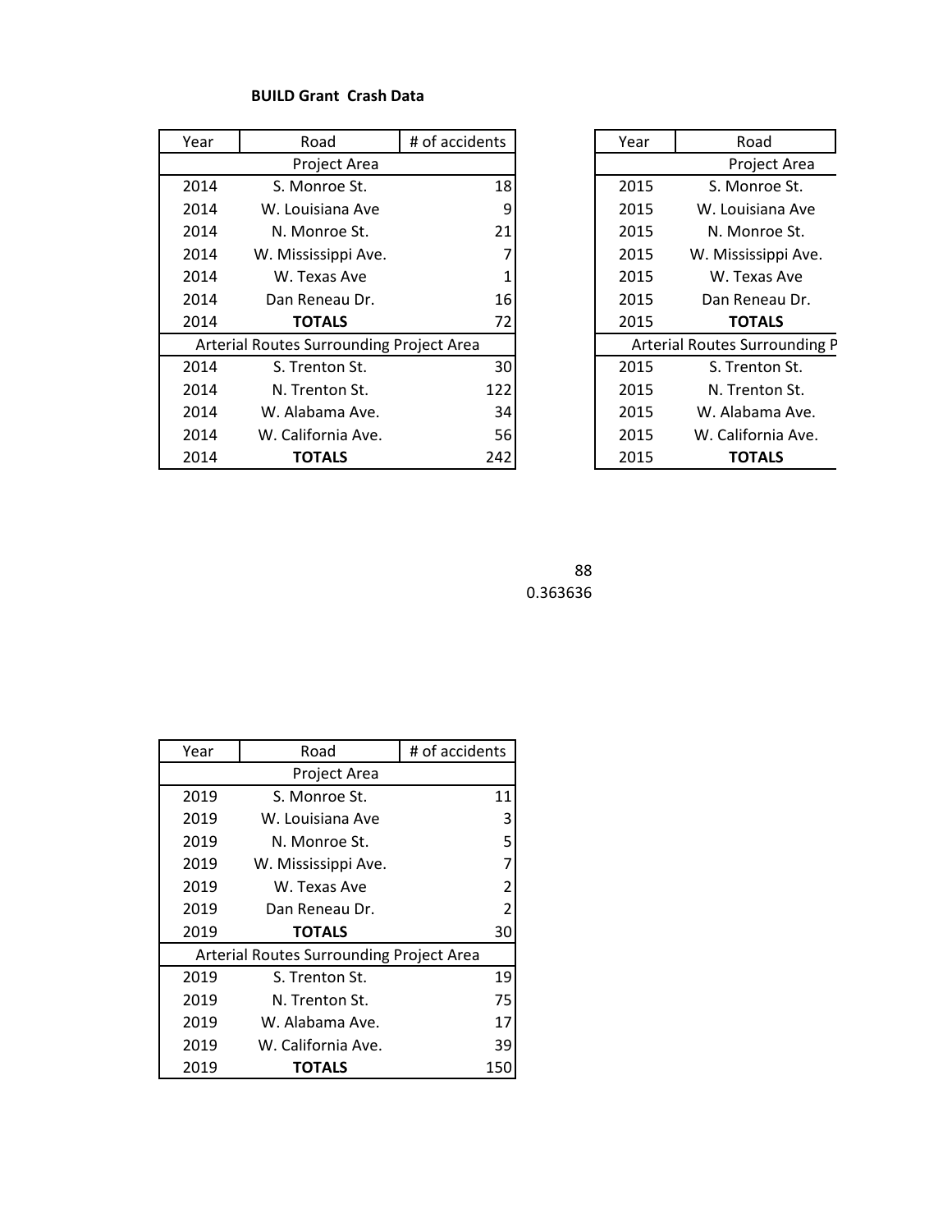## **BUILD Grant Crash Data**

| Year                                     | # of accidents<br>Road |     | Year | Road                          |
|------------------------------------------|------------------------|-----|------|-------------------------------|
|                                          | Project Area           |     |      | Project Area                  |
| 2014                                     | S. Monroe St.          | 18  | 2015 | S. Monroe St.                 |
| 2014                                     | W. Louisiana Ave       | 9   | 2015 | W. Louisiana Ave              |
| 2014                                     | N. Monroe St.          | 21  | 2015 | N. Monroe St.                 |
| 2014                                     | W. Mississippi Ave.    |     | 2015 | W. Mississippi Ave.           |
| 2014                                     | W. Texas Ave           |     | 2015 | W. Texas Ave                  |
| 2014                                     | Dan Reneau Dr.         | 161 | 2015 | Dan Reneau Dr.                |
| 2014                                     | <b>TOTALS</b>          | 72  | 2015 | <b>TOTALS</b>                 |
| Arterial Routes Surrounding Project Area |                        |     |      | Arterial Routes Surrounding P |
| 2014                                     | S. Trenton St.         | 30  | 2015 | S. Trenton St.                |
| 2014                                     | N. Trenton St.         | 122 | 2015 | N. Trenton St.                |
| 2014                                     | W. Alabama Ave.        | 34  | 2015 | W. Alabama Ave.               |
| 2014                                     | W. California Ave.     | 56  | 2015 | W. California Ave.            |
| 2014                                     | <b>TOTALS</b>          | 242 | 2015 | <b>TOTALS</b>                 |

| Road                       | # of accidents |  | Year | Road                          |
|----------------------------|----------------|--|------|-------------------------------|
| Project Area               |                |  |      | Project Area                  |
| Monroe St.                 | 18             |  | 2015 | S. Monroe St.                 |
| ouisiana Ave               | 9              |  | 2015 | W. Louisiana Ave              |
| Monroe St.                 | 21             |  | 2015 | N. Monroe St.                 |
| 7<br>ississippi Ave.       |                |  | 2015 | W. Mississippi Ave.           |
| Texas Ave                  |                |  | 2015 | W. Texas Ave                  |
| 16<br>Reneau Dr.           |                |  | 2015 | Dan Reneau Dr.                |
| <b>TOTALS</b>              | 72             |  | 2015 | <b>TOTALS</b>                 |
| s Surrounding Project Area |                |  |      | Arterial Routes Surrounding P |
| Frenton St.                | 30             |  | 2015 | S. Trenton St.                |
| Trenton St.                | 122            |  | 2015 | N. Trenton St.                |
| labama Ave.                | 34             |  | 2015 | W. Alabama Ave.               |
| alifornia Ave.             | 56             |  | 2015 | W. California Ave.            |
| <b>TOTALS</b>              | 242            |  | 2015 | <b>TOTALS</b>                 |

 0.363636

| Year | # of accidents<br>Road                   |                |
|------|------------------------------------------|----------------|
|      | Project Area                             |                |
| 2019 | S. Monroe St.                            | 11             |
| 2019 | W. Louisiana Ave                         | 3              |
| 2019 | N. Monroe St.                            | 5              |
| 2019 | W. Mississippi Ave.                      | $\overline{7}$ |
| 2019 | W. Texas Ave                             | $\overline{2}$ |
| 2019 | Dan Reneau Dr.                           | $\overline{2}$ |
| 2019 | <b>TOTALS</b>                            | 30             |
|      | Arterial Routes Surrounding Project Area |                |
| 2019 | S. Trenton St.                           | 19             |
| 2019 | N. Trenton St.                           | 75             |
| 2019 | W. Alabama Ave.                          | 17             |
| 2019 | W. California Ave.                       | 39             |
| 2019 | TOTALS                                   | 150            |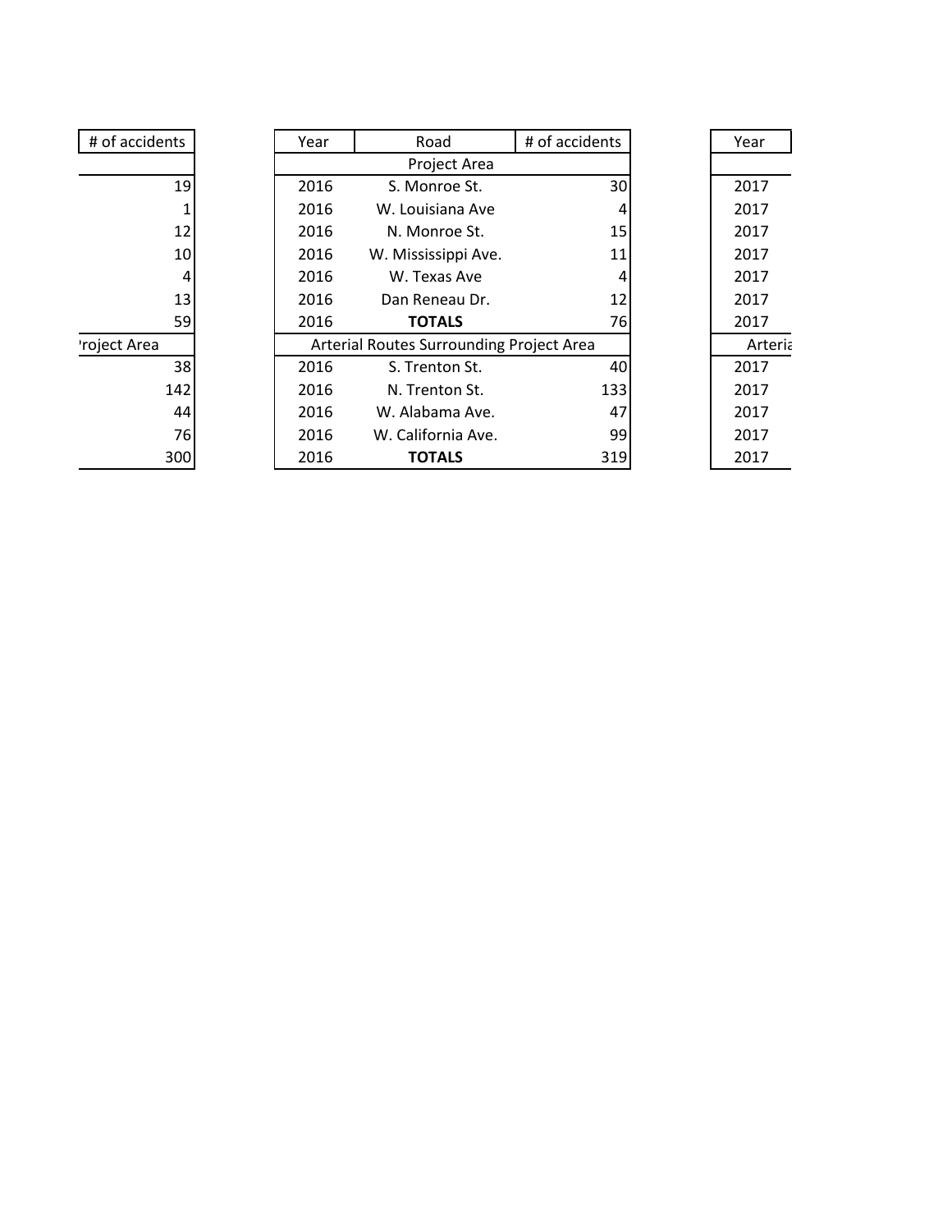| # of accidents | Year | Road                                     | # of accidents | Year    |  |
|----------------|------|------------------------------------------|----------------|---------|--|
|                |      | Project Area                             |                |         |  |
| 19             | 2016 | S. Monroe St.                            | 30             | 2017    |  |
|                | 2016 | W. Louisiana Ave                         | 4              | 2017    |  |
| 12             | 2016 | N. Monroe St.                            | 15             | 2017    |  |
| 10             | 2016 | W. Mississippi Ave.                      | 11             | 2017    |  |
| 4              | 2016 | W. Texas Ave                             | 4              | 2017    |  |
| 13             | 2016 | Dan Reneau Dr.                           | 12             | 2017    |  |
| 59             | 2016 | <b>TOTALS</b>                            | 76             | 2017    |  |
| 'roject Area   |      | Arterial Routes Surrounding Project Area |                | Arteria |  |
| 38             | 2016 | S. Trenton St.                           | 40             | 2017    |  |
| 142            | 2016 | N. Trenton St.                           | 133            | 2017    |  |
| 44             | 2016 | W. Alabama Ave.                          | 47             | 2017    |  |
| 76             | 2016 | W. California Ave.                       | 99             | 2017    |  |
| 300            | 2016 | <b>TOTALS</b>                            | 319            | 2017    |  |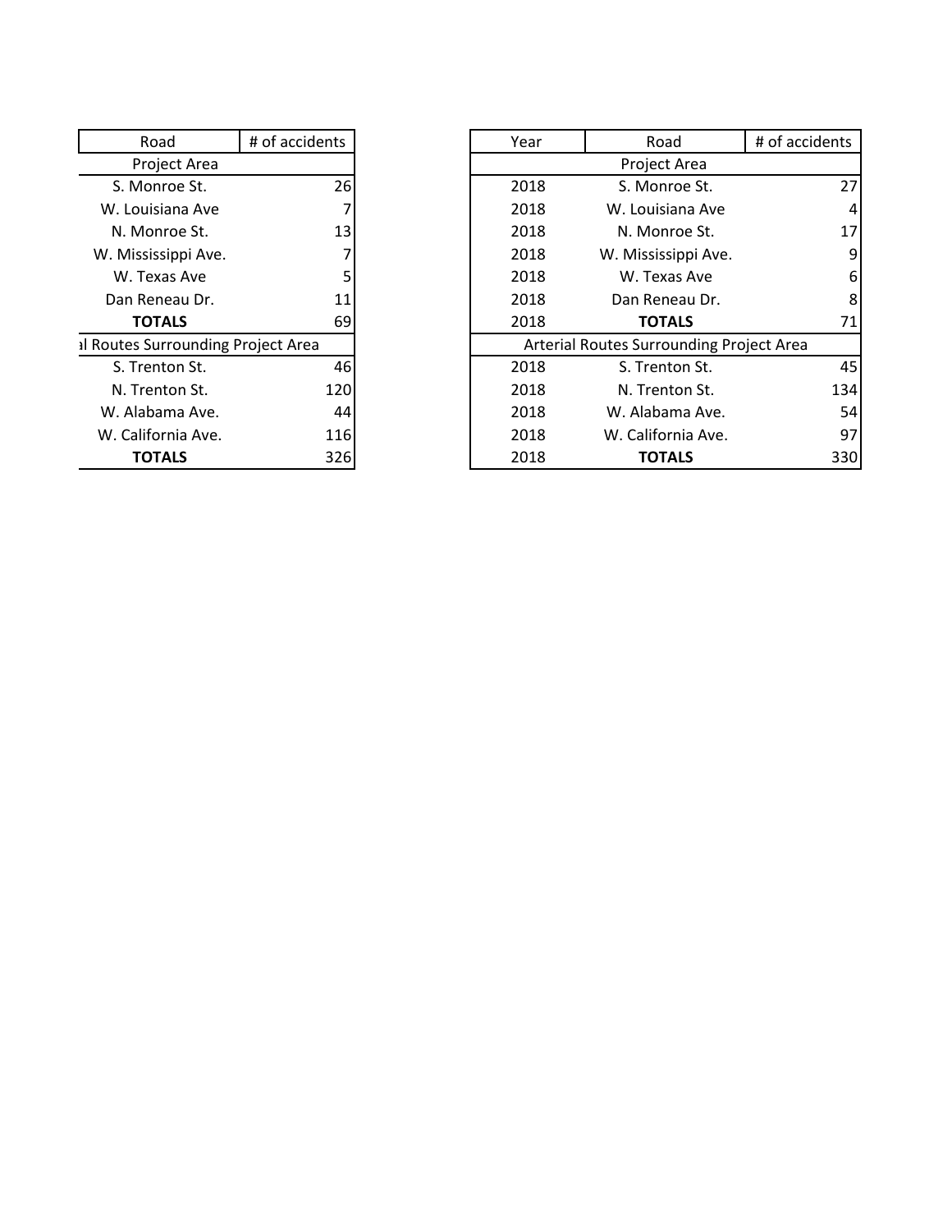| Road                               | # of accidents |
|------------------------------------|----------------|
| Project Area                       |                |
| S. Monroe St.                      | 26             |
| W. Louisiana Ave                   |                |
| N. Monroe St.                      | 13             |
| W. Mississippi Ave.                |                |
| W. Texas Ave                       | 7<br>5         |
| Dan Reneau Dr.                     | 11             |
| <b>TOTALS</b>                      | 69             |
| al Routes Surrounding Project Area |                |
| S. Trenton St.                     | 46             |
| N. Trenton St.                     | 120            |
| W. Alabama Ave.                    | 44             |
| W. California Ave.                 | 116            |
| TOTALS                             | 326            |

| Road                            | # of accidents | Year | Road                                     | # of accidents  |
|---------------------------------|----------------|------|------------------------------------------|-----------------|
|                                 |                |      |                                          |                 |
| Project Area                    |                |      | Project Area                             |                 |
| S. Monroe St.                   | 26             | 2018 | S. Monroe St.                            | 27 <sup>1</sup> |
| W. Louisiana Ave                |                | 2018 | W. Louisiana Ave                         | 4               |
| N. Monroe St.                   | 13             | 2018 | N. Monroe St.                            | 17              |
| W. Mississippi Ave.             |                | 2018 | W. Mississippi Ave.                      | 9               |
| W. Texas Ave                    |                | 2018 | W. Texas Ave                             | 6               |
| Dan Reneau Dr.                  | 11             | 2018 | Dan Reneau Dr.                           | 8               |
| <b>TOTALS</b>                   | 69             | 2018 | <b>TOTALS</b>                            | 71              |
| Routes Surrounding Project Area |                |      | Arterial Routes Surrounding Project Area |                 |
| S. Trenton St.                  | 46             | 2018 | S. Trenton St.                           | 45              |
| N. Trenton St.                  | 120            | 2018 | N. Trenton St.                           | 134             |
| W. Alabama Ave.                 | 44             | 2018 | W. Alabama Ave.                          | 54              |
| W. California Ave.              | 116            | 2018 | W. California Ave.                       | 97              |
| <b>TOTALS</b>                   | 326            | 2018 | <b>TOTALS</b>                            | 330             |